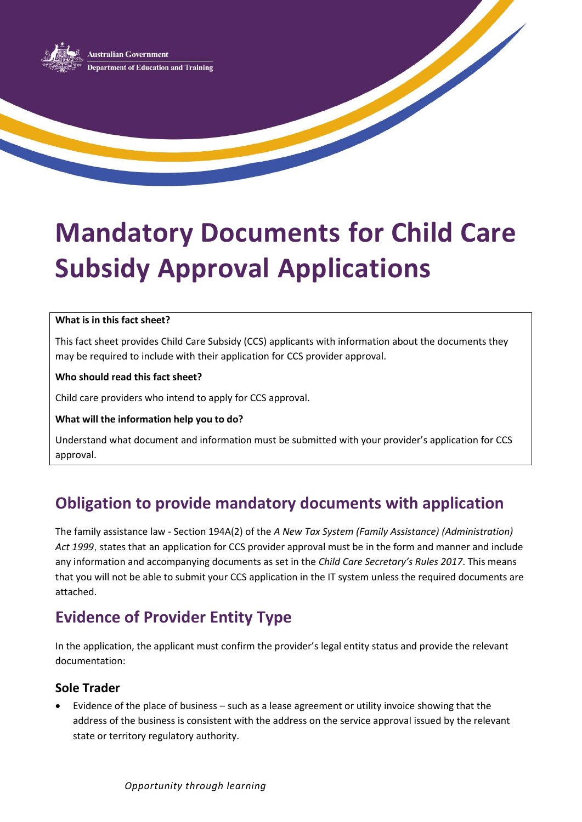

# **Mandatory Documents for Child Care Subsidy Approval Applications**

#### **What is in this fact sheet?**

This fact sheet provides Child Care Subsidy (CCS) applicants with information about the documents they may be required to include with their application for CCS provider approval.

**Who should read this fact sheet?**

Child care providers who intend to apply for CCS approval.

#### **What will the information help you to do?**

Understand what document and information must be submitted with your provider's application for CCS approval.

# **Obligation to provide mandatory documents with application**

The family assistance law - Section 194A(2) of the *A New Tax System (Family Assistance) (Administration) Act 1999*, states that an application for CCS provider approval must be in the form and manner and include any information and accompanying documents as set in the *Child Care Secretary's Rules 2017*. This means that you will not be able to submit your CCS application in the IT system unless the required documents are attached.

# **Evidence of Provider Entity Type**

In the application, the applicant must confirm the provider's legal entity status and provide the relevant documentation:

### **Sole Trader**

 Evidence of the place of business – such as a lease agreement or utility invoice showing that the address of the business is consistent with the address on the service approval issued by the relevant state or territory regulatory authority.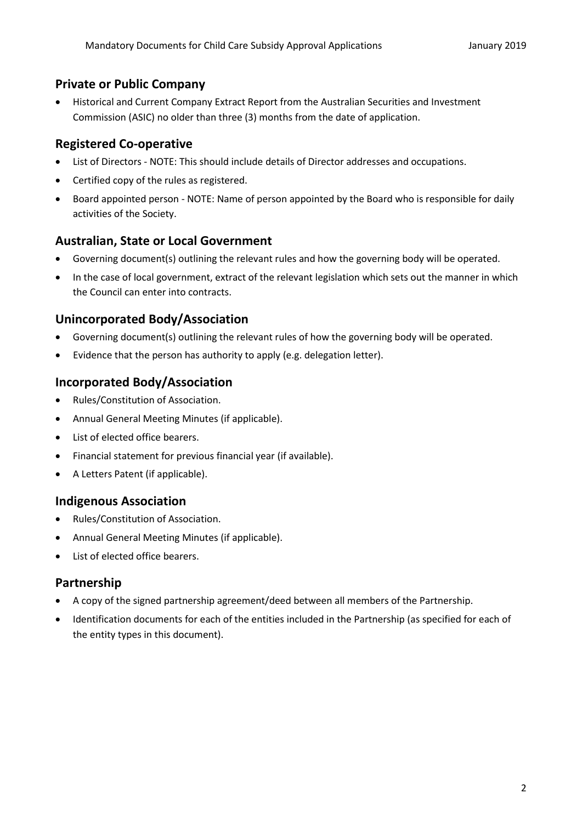#### **Private or Public Company**

 Historical and Current Company Extract Report from the Australian Securities and Investment Commission (ASIC) no older than three (3) months from the date of application.

#### **Registered Co-operative**

- List of Directors NOTE: This should include details of Director addresses and occupations.
- Certified copy of the rules as registered.
- Board appointed person NOTE: Name of person appointed by the Board who is responsible for daily activities of the Society.

#### **Australian, State or Local Government**

- Governing document(s) outlining the relevant rules and how the governing body will be operated.
- In the case of local government, extract of the relevant legislation which sets out the manner in which the Council can enter into contracts.

#### **Unincorporated Body/Association**

- Governing document(s) outlining the relevant rules of how the governing body will be operated.
- Evidence that the person has authority to apply (e.g. delegation letter).

#### **Incorporated Body/Association**

- Rules/Constitution of Association.
- Annual General Meeting Minutes (if applicable).
- List of elected office bearers.
- Financial statement for previous financial year (if available).
- A Letters Patent (if applicable).

#### **Indigenous Association**

- Rules/Constitution of Association.
- Annual General Meeting Minutes (if applicable).
- List of elected office bearers.

#### **Partnership**

- A copy of the signed partnership agreement/deed between all members of the Partnership.
- Identification documents for each of the entities included in the Partnership (as specified for each of the entity types in this document).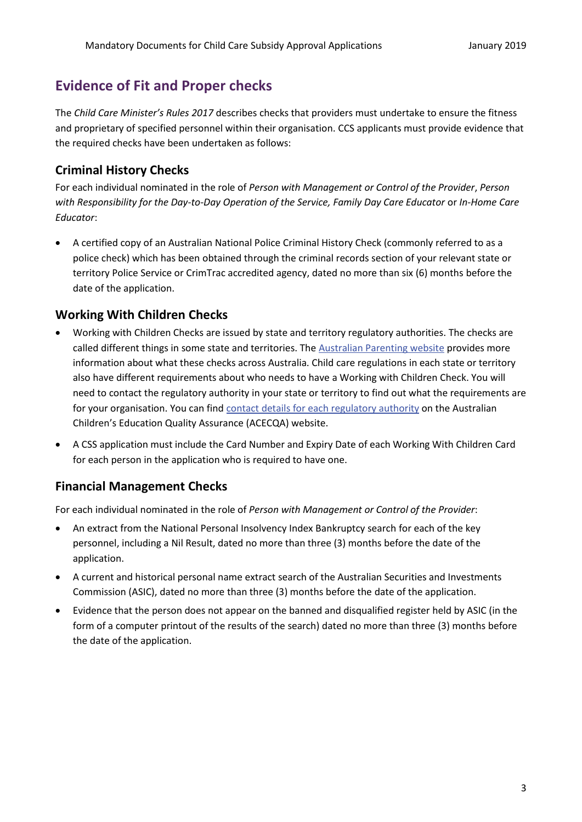# **Evidence of Fit and Proper checks**

The *Child Care Minister's Rules 2017* describes checks that providers must undertake to ensure the fitness and proprietary of specified personnel within their organisation. CCS applicants must provide evidence that the required checks have been undertaken as follows:

#### **Criminal History Checks**

For each individual nominated in the role of *Person with Management or Control of the Provider*, *Person with Responsibility for the Day-to-Day Operation of the Service, Family Day Care Educator* or *In-Home Care Educator*:

 A certified copy of an Australian National Police Criminal History Check (commonly referred to as a police check) which has been obtained through the criminal records section of your relevant state or territory Police Service or CrimTrac accredited agency, dated no more than six (6) months before the date of the application.

#### **Working With Children Checks**

- Working with Children Checks are issued by state and territory regulatory authorities. The checks are called different things in some state and territories. The [Australian Parenting website](https://raisingchildren.net.au/grown-ups/work-child-care/types-of-child-care/wwc-checks#working-with-children-checks-australian-states-and-territories-nav-title) provides more information about what these checks across Australia. Child care regulations in each state or territory also have different requirements about who needs to have a Working with Children Check. You will need to contact the regulatory authority in your state or territory to find out what the requirements are for your organisation. You can fin[d contact details for each regulatory authority](Link%20to%20https:/www.acecqa.gov.au/help/contact-your-regulatory-authority) on the Australian Children's Education Quality Assurance (ACECQA) website.
- A CSS application must include the Card Number and Expiry Date of each Working With Children Card for each person in the application who is required to have one.

#### **Financial Management Checks**

For each individual nominated in the role of *Person with Management or Control of the Provider*:

- An [extract from the National Personal Insolvency Index Bankruptcy search](https://www.afsa.gov.au/online-services/bankruptcy-register-search/why-search) for each of the key personnel, including a Nil Result, dated no more than three (3) months before the date of the application.
- A current and historical personal name extract search of the Australian Securities and Investments Commission (ASIC), dated no more than three (3) months before the date of the application.
- Evidence that the person does not appear on the banned and disqualified register held by ASIC (in the form of a computer printout of the results of the search) dated no more than three (3) months before the date of the application.